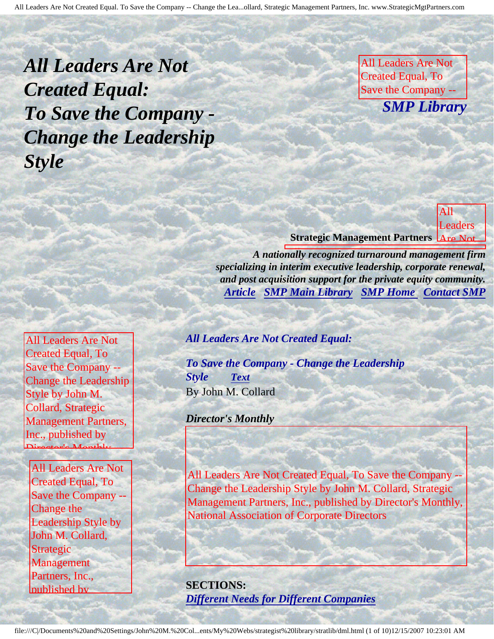<span id="page-0-3"></span>*All Leaders Are Not Created Equal: To Save the Company - Change the Leadership Style* 

All Leaders Are Not Created Equal, To Save the Company -- **SMP Library** Leadership Style by

Strategic Management

Director's Monthly, National Association **of Corporate Directors** 

**Leaders** 

m<sub>an</sub>g Company

Change

Leadership Style by John M. Collard, Collard, Collard, Collard, Collard, Collard, Collard, Collard, Collard, Collard, Collard, Collard, Co

Management

Association

Corporate Corporate

Partners,

Inc.,

--

the

John M. Collard,

Partners, Inc., published by

**Strategic Management Partners** Are Not

published by Director's Month Director

 $A$  as a stronger director of  $\mathcal{A}$  and  $\mathcal{A}$  are corporate Directors of  $\mathcal{A}$ 

A nationally recognized turnaround management firm specializing in interim executive leadership, corporate renewal, and post acquisition support for the private equity community. **[Article](#page-0-0) [SMP Main Library](http://members.aol.com/strategist/library.html#TOP) SMP Home [Contact SMP](#page-8-0)** 

<span id="page-0-2"></span><span id="page-0-0"></span>All Leaders Are Not Created Equal, To Save the Company -- Change the Leadership Style by John M. Collard, Strategic Management Partners, Inc., published by Director's Monthly,

<span id="page-0-1"></span>All Leaders Are Not  $\Gamma$ <sup>or Leggers</sub>  $\Gamma$ <sub>c</sub>  $\Gamma$ <sub>o</sub></sup> Created Equal, To Save the Company -- Change the Leadership Style by John M. Collard, Strategic Management Partners, Inc., published by

Director's Monthly,

*All Leaders Are Not Created Equal:*

*To Save the Company - Change the Leadership Style [Text](#page-1-0)* By John M. Collard

*Director's Monthly*

published  $\mathbf{u}$  $\begin{array}{c} 2R \\ -4R \end{array}$ Monthly, National All Leaders Are Not Created Equal, To Save the Company -- Change the Leadership Style by John M. Collard, Strategic Management Partners, Inc., published by Director's Monthly, National Association of Corporate Directors

**SECTIONS:** *[Different Needs for Different Companies](#page-2-0)*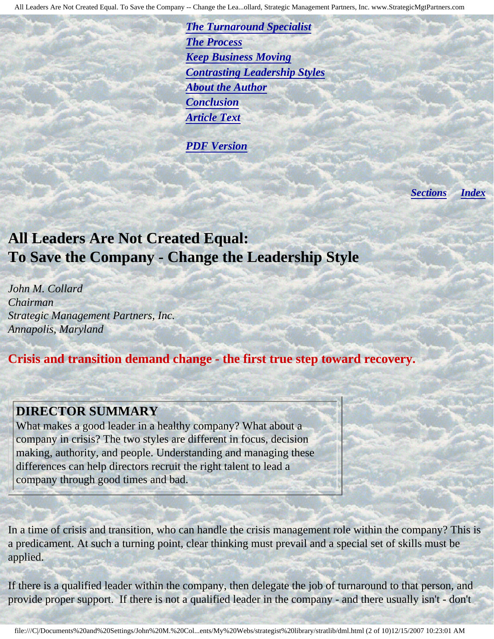*[The Turnaround Specialist](#page-3-0) [The Process](#page-4-0) [Keep Business Moving](#page-4-1) [Contrasting Leadership Styles](#page-3-1) [About the Author](#page-7-0) [Conclusion](#page-6-0) [Article Text](#page-1-0)*

*[PDF Version](http://members.aol.com/stratlib/dm-ldrs.pdf)*

*[Sections](#page-0-1) [Index](#page-0-2)*

## <span id="page-1-0"></span>**All Leaders Are Not Created Equal: To Save the Company - Change the Leadership Style**

*John M. Collard Chairman Strategic Management Partners, Inc. Annapolis, Maryland*

National Association Association

Directors

## **Crisis and transition demand change - the first true step toward recovery.**

### **DIRECTOR SUMMARY**

i

What makes a good leader in a healthy company? What about a company in crisis? The two styles are different in focus, decision making, authority, and people. Understanding and managing these differences can help directors recruit the right talent to lead a company through good times and bad.

In a time of crisis and transition, who can handle the crisis management role within the company? This is a predicament. At such a turning point, clear thinking must prevail and a special set of skills must be applied.

If there is a qualified leader within the company, then delegate the job of turnaround to that person, and provide proper support. If there is not a qualified leader in the company - and there usually isn't - don't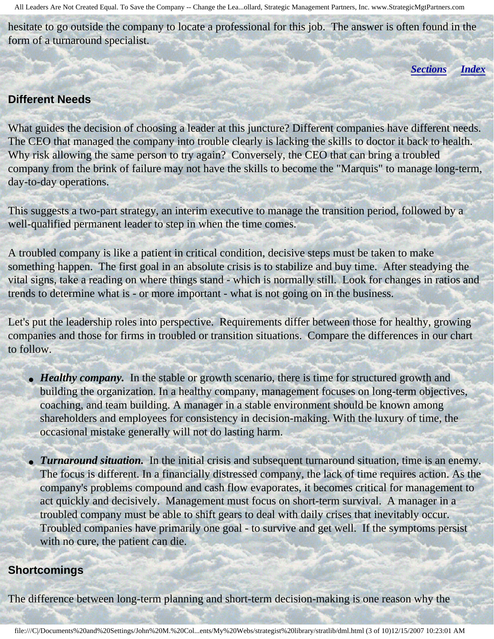hesitate to go outside the company to locate a professional for this job. The answer is often found in the form of a turnaround specialist.

*[Sections](#page-0-1) [Index](#page-0-2)*

#### <span id="page-2-0"></span>**Different Needs**

What guides the decision of choosing a leader at this juncture? Different companies have different needs. The CEO that managed the company into trouble clearly is lacking the skills to doctor it back to health. Why risk allowing the same person to try again? Conversely, the CEO that can bring a troubled company from the brink of failure may not have the skills to become the "Marquis" to manage long-term, day-to-day operations.

This suggests a two-part strategy, an interim executive to manage the transition period, followed by a well-qualified permanent leader to step in when the time comes.

A troubled company is like a patient in critical condition, decisive steps must be taken to make something happen. The first goal in an absolute crisis is to stabilize and buy time. After steadying the vital signs, take a reading on where things stand - which is normally still. Look for changes in ratios and trends to determine what is - or more important - what is not going on in the business.

Let's put the leadership roles into perspective. Requirements differ between those for healthy, growing companies and those for firms in troubled or transition situations. Compare the differences in our chart to follow.

- *Healthy company*. In the stable or growth scenario, there is time for structured growth and building the organization. In a healthy company, management focuses on long-term objectives, coaching, and team building. A manager in a stable environment should be known among shareholders and employees for consistency in decision-making. With the luxury of time, the occasional mistake generally will not do lasting harm.
- *Turnaround situation*. In the initial crisis and subsequent turnaround situation, time is an enemy. The focus is different. In a financially distressed company, the lack of time requires action. As the company's problems compound and cash flow evaporates, it becomes critical for management to act quickly and decisively. Management must focus on short-term survival. A manager in a troubled company must be able to shift gears to deal with daily crises that inevitably occur. Troubled companies have primarily one goal - to survive and get well. If the symptoms persist with no cure, the patient can die.

#### **Shortcomings**

The difference between long-term planning and short-term decision-making is one reason why the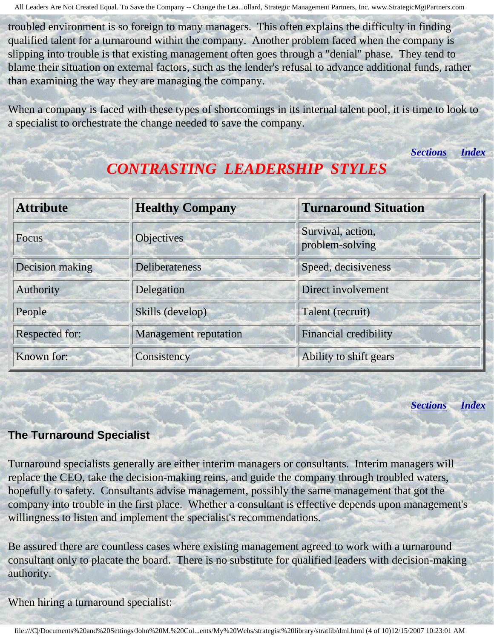troubled environment is so foreign to many managers. This often explains the difficulty in finding qualified talent for a turnaround within the company. Another problem faced when the company is slipping into trouble is that existing management often goes through a "denial" phase. They tend to blame their situation on external factors, such as the lender's refusal to advance additional funds, rather than examining the way they are managing the company.

<span id="page-3-1"></span>When a company is faced with these types of shortcomings in its internal talent pool, it is time to look to a specialist to orchestrate the change needed to save the company.

*[Sections](#page-0-1) [Index](#page-0-2)*

| <b>Attribute</b>      | <b>Healthy Company</b>       | <b>Turnaround Situation</b>          |  |  |
|-----------------------|------------------------------|--------------------------------------|--|--|
| <b>Focus</b>          | <b>Objectives</b>            | Survival, action,<br>problem-solving |  |  |
| Decision making       | <b>Deliberateness</b>        | Speed, decisiveness                  |  |  |
| Authority             | Delegation                   | Direct involvement                   |  |  |
| People                | Skills (develop)             | Talent (recruit)                     |  |  |
| <b>Respected for:</b> | <b>Management reputation</b> | <b>Financial credibility</b>         |  |  |
| Known for:            | Consistency                  | Ability to shift gears               |  |  |

# *CONTRASTING LEADERSHIP STYLES*

*[Sections](#page-0-1) [Index](#page-0-2)*

### <span id="page-3-0"></span>**The Turnaround Specialist**

Turnaround specialists generally are either interim managers or consultants. Interim managers will replace the CEO, take the decision-making reins, and guide the company through troubled waters, hopefully to safety. Consultants advise management, possibly the same management that got the company into trouble in the first place. Whether a consultant is effective depends upon management's willingness to listen and implement the specialist's recommendations.

Be assured there are countless cases where existing management agreed to work with a turnaround consultant only to placate the board. There is no substitute for qualified leaders with decision-making authority.

When hiring a turnaround specialist: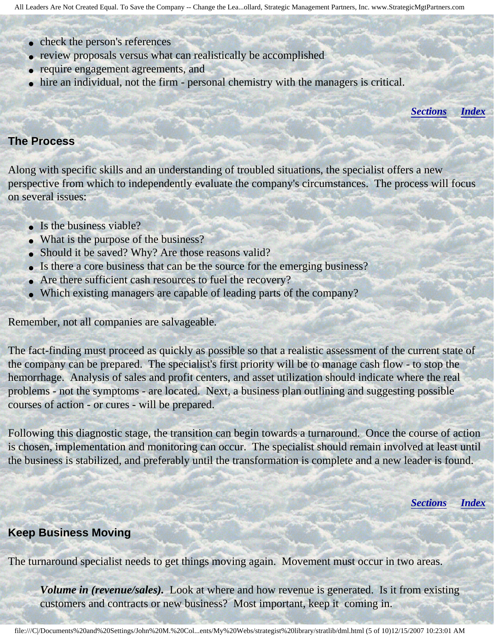- check the person's references
- review proposals versus what can realistically be accomplished
- require engagement agreements, and
- hire an individual, not the firm personal chemistry with the managers is critical.

*[Sections](#page-0-1) [Index](#page-0-2)*

#### <span id="page-4-0"></span>**The Process**

Along with specific skills and an understanding of troubled situations, the specialist offers a new perspective from which to independently evaluate the company's circumstances. The process will focus on several issues:

- Is the business viable?
- What is the purpose of the business?
- Should it be saved? Why? Are those reasons valid?
- Is there a core business that can be the source for the emerging business?
- Are there sufficient cash resources to fuel the recovery?
- Which existing managers are capable of leading parts of the company?

Remember, not all companies are salvageable.

The fact-finding must proceed as quickly as possible so that a realistic assessment of the current state of the company can be prepared. The specialist's first priority will be to manage cash flow - to stop the hemorrhage. Analysis of sales and profit centers, and asset utilization should indicate where the real problems - not the symptoms - are located. Next, a business plan outlining and suggesting possible courses of action - or cures - will be prepared.

Following this diagnostic stage, the transition can begin towards a turnaround. Once the course of action is chosen, implementation and monitoring can occur. The specialist should remain involved at least until the business is stabilized, and preferably until the transformation is complete and a new leader is found.

*[Sections](#page-0-1) [Index](#page-0-2)*

#### <span id="page-4-1"></span>**Keep Business Moving**

The turnaround specialist needs to get things moving again. Movement must occur in two areas.

*Volume in (revenue/sales).* Look at where and how revenue is generated. Is it from existing customers and contracts or new business? Most important, keep it coming in.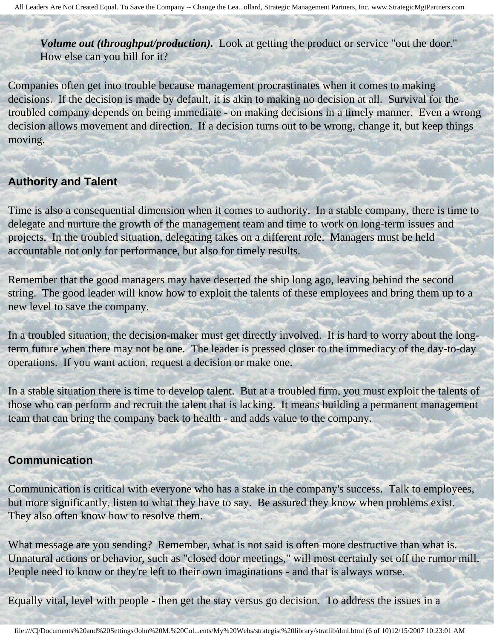*Volume out (throughput/production).* Look at getting the product or service "out the door." How else can you bill for it?

Companies often get into trouble because management procrastinates when it comes to making decisions. If the decision is made by default, it is akin to making no decision at all. Survival for the troubled company depends on being immediate - on making decisions in a timely manner. Even a wrong decision allows movement and direction. If a decision turns out to be wrong, change it, but keep things moving.

#### **Authority and Talent**

Time is also a consequential dimension when it comes to authority. In a stable company, there is time to delegate and nurture the growth of the management team and time to work on long-term issues and projects. In the troubled situation, delegating takes on a different role. Managers must be held accountable not only for performance, but also for timely results.

Remember that the good managers may have deserted the ship long ago, leaving behind the second string. The good leader will know how to exploit the talents of these employees and bring them up to a new level to save the company.

In a troubled situation, the decision-maker must get directly involved. It is hard to worry about the longterm future when there may not be one. The leader is pressed closer to the immediacy of the day-to-day operations. If you want action, request a decision or make one.

In a stable situation there is time to develop talent. But at a troubled firm, you must exploit the talents of those who can perform and recruit the talent that is lacking. It means building a permanent management team that can bring the company back to health - and adds value to the company.

#### **Communication**

Communication is critical with everyone who has a stake in the company's success. Talk to employees, but more significantly, listen to what they have to say. Be assured they know when problems exist. They also often know how to resolve them.

What message are you sending? Remember, what is not said is often more destructive than what is. Unnatural actions or behavior, such as "closed door meetings," will most certainly set off the rumor mill. People need to know or they're left to their own imaginations - and that is always worse.

Equally vital, level with people - then get the stay versus go decision. To address the issues in a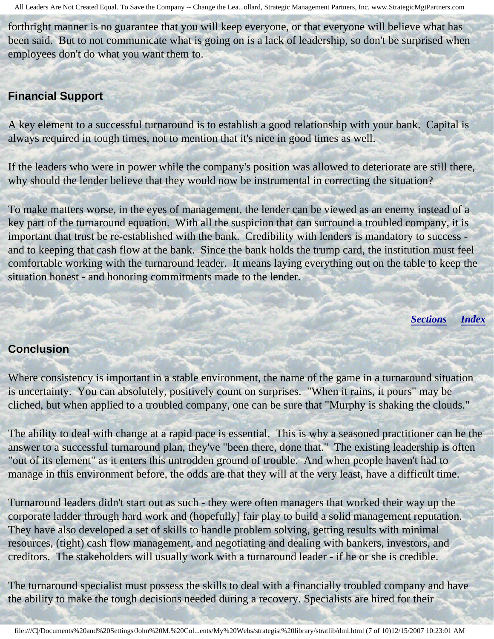forthright manner is no guarantee that you will keep everyone, or that everyone will believe what has been said. But to not communicate what is going on is a lack of leadership, so don't be surprised when employees don't do what you want them to.

## **Financial Support**

A key element to a successful turnaround is to establish a good relationship with your bank. Capital is always required in tough times, not to mention that it's nice in good times as well.

If the leaders who were in power while the company's position was allowed to deteriorate are still there, why should the lender believe that they would now be instrumental in correcting the situation?

To make matters worse, in the eyes of management, the lender can be viewed as an enemy instead of a key part of the turnaround equation. With all the suspicion that can surround a troubled company, it is important that trust be re-established with the bank. Credibility with lenders is mandatory to success and to keeping that cash flow at the bank. Since the bank holds the trump card, the institution must feel comfortable working with the turnaround leader. It means laying everything out on the table to keep the situation honest - and honoring commitments made to the lender.

*[Sections](#page-0-1) [Index](#page-0-2)*

#### <span id="page-6-0"></span>**Conclusion**

Where consistency is important in a stable environment, the name of the game in a turnaround situation is uncertainty. You can absolutely, positively count on surprises. "When it rains, it pours" may be cliched, but when applied to a troubled company, one can be sure that "Murphy is shaking the clouds."

The ability to deal with change at a rapid pace is essential. This is why a seasoned practitioner can be the answer to a successful turnaround plan, they've "been there, done that." The existing leadership is often "out of its element" as it enters this untrodden ground of trouble. And when people haven't had to manage in this environment before, the odds are that they will at the very least, have a difficult time.

Turnaround leaders didn't start out as such - they were often managers that worked their way up the corporate ladder through hard work and (hopefully] fair play to build a solid management reputation. They have also developed a set of skills to handle problem solving, getting results with minimal resources, (tight) cash flow management, and negotiating and dealing with bankers, investors, and creditors. The stakeholders will usually work with a turnaround leader - if he or she is credible.

The turnaround specialist must possess the skills to deal with a financially troubled company and have the ability to make the tough decisions needed during a recovery. Specialists are hired for their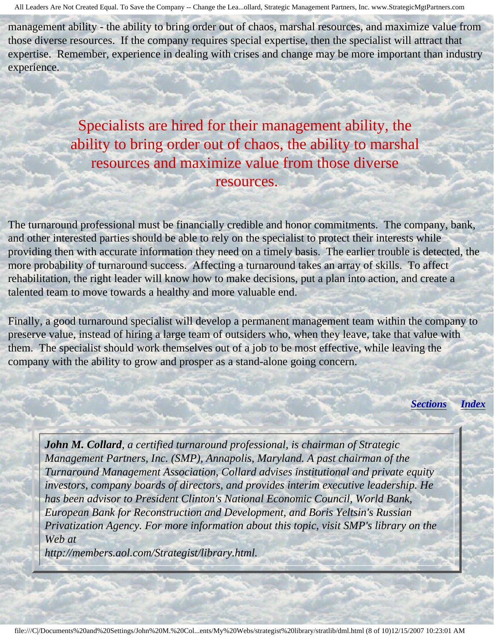management ability - the ability to bring order out of chaos, marshal resources, and maximize value from those diverse resources. If the company requires special expertise, then the specialist will attract that expertise. Remember, experience in dealing with crises and change may be more important than industry experience.

Specialists are hired for their management ability, the ability to bring order out of chaos, the ability to marshal resources and maximize value from those diverse resources.

The turnaround professional must be financially credible and honor commitments. The company, bank, and other interested parties should be able to rely on the specialist to protect their interests while providing then with accurate information they need on a timely basis. The earlier trouble is detected, the more probability of turnaround success. Affecting a turnaround takes an array of skills. To affect rehabilitation, the right leader will know how to make decisions, put a plan into action, and create a talented team to move towards a healthy and more valuable end.

Finally, a good turnaround specialist will develop a permanent management team within the company to preserve value, instead of hiring a large team of outsiders who, when they leave, take that value with them. The specialist should work themselves out of a job to be most effective, while leaving the company with the ability to grow and prosper as a stand-alone going concern.

*[Sections](#page-0-1) [Index](#page-0-2)*

<span id="page-7-0"></span>*John M. Collard, a certified turnaround professional, is chairman of Strategic Management Partners, Inc. (SMP), Annapolis, Maryland. A past chairman of the Turnaround Management Association, Collard advises institutional and private equity investors, company boards of directors, and provides interim executive leadership. He has been advisor to President Clinton's National Economic Council, World Bank, European Bank for Reconstruction and Development, and Boris Yeltsin's Russian Privatization Agency. For more information about this topic, visit SMP's library on the Web at*

*http://members.aol.com/Strategist/library.html.*

j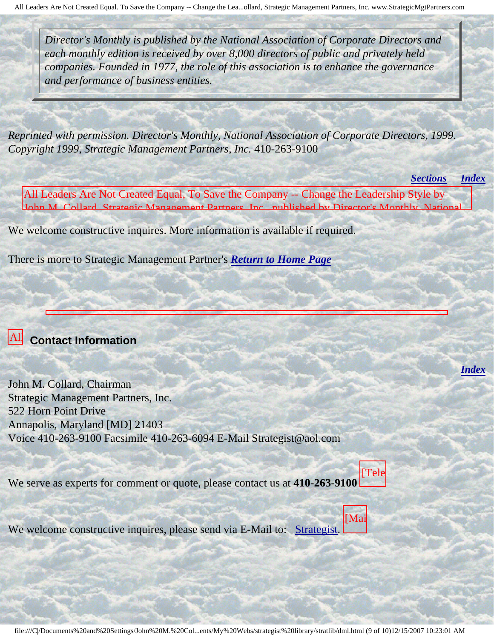*Director's Monthly is published by the National Association of Corporate Directors and each monthly edition is received by over 8,000 directors of public and privately held companies. Founded in 1977, the role of this association is to enhance the governance and performance of business entities.*

*Reprinted with permission. Director's Monthly, National Association of Corporate Directors, 1999. Copyright 1999, Strategic Management Partners, Inc.* 410-263-9100

*[Sections](#page-0-1) [Index](#page-0-2)* All Leaders Are Not Created Equal, To Save the Company -- Change the Leadership Style by John M. Collard, Strategic Management Partners, Inc., published by Director's Monthly, National

*[Index](#page-0-2)*

We welcome constructive inquires. More information is available if required.

There is more to Strategic Management Partner's *[Return to Home Page](http://members.aol.com/strategist/home.html#TOP)*

#### <span id="page-8-0"></span>All Leaders  **Contact Information**

Are

Company

Leadership

John

Strategic

John M. Collard, Chairman Strategic Management Partners, Inc. Strategie *Management* To Annapolis, Maryland [MD] 21403  $\frac{1}{\sqrt{2}}$ the Voice 410-263-9100 Facsimile 410-263-6094 E-Mail Strategist@aol.com

We serve as experts for comment or quote, please contact us at **410-263-9100** [Tele

We welcome constructive inquires, please send via E-Mail to: [Strategist.](mailto:Strategist@aol.com (library dml))

[Mai